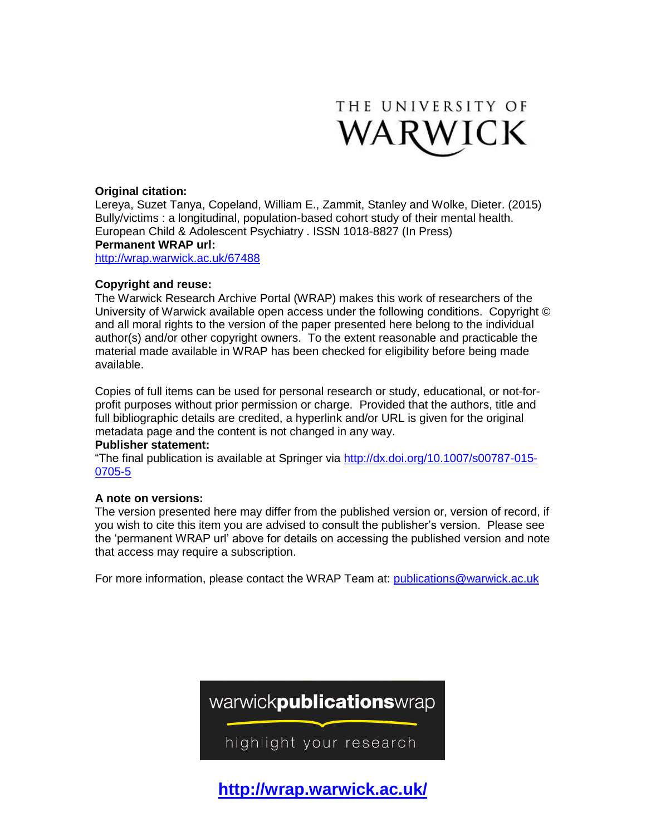

# **Original citation:**

Lereya, Suzet Tanya, Copeland, William E., Zammit, Stanley and Wolke, Dieter. (2015) Bully/victims : a longitudinal, population-based cohort study of their mental health. European Child & Adolescent Psychiatry . ISSN 1018-8827 (In Press) **Permanent WRAP url:**

<http://wrap.warwick.ac.uk/67488>

## **Copyright and reuse:**

The Warwick Research Archive Portal (WRAP) makes this work of researchers of the University of Warwick available open access under the following conditions. Copyright © and all moral rights to the version of the paper presented here belong to the individual author(s) and/or other copyright owners. To the extent reasonable and practicable the material made available in WRAP has been checked for eligibility before being made available.

Copies of full items can be used for personal research or study, educational, or not-forprofit purposes without prior permission or charge. Provided that the authors, title and full bibliographic details are credited, a hyperlink and/or URL is given for the original metadata page and the content is not changed in any way.

## **Publisher statement:**

"The final publication is available at Springer via [http://dx.doi.org/10.1007/s00787-015-](http://dx.doi.org/10.1007/s00787-015-0705-5) [0705-5](http://dx.doi.org/10.1007/s00787-015-0705-5)

## **A note on versions:**

The version presented here may differ from the published version or, version of record, if you wish to cite this item you are advised to consult the publisher's version. Please see the 'permanent WRAP url' above for details on accessing the published version and note that access may require a subscription.

For more information, please contact the WRAP Team at: [publications@warwick.ac.uk](mailto:publications@warwick.ac.uk)



**<http://wrap.warwick.ac.uk/>**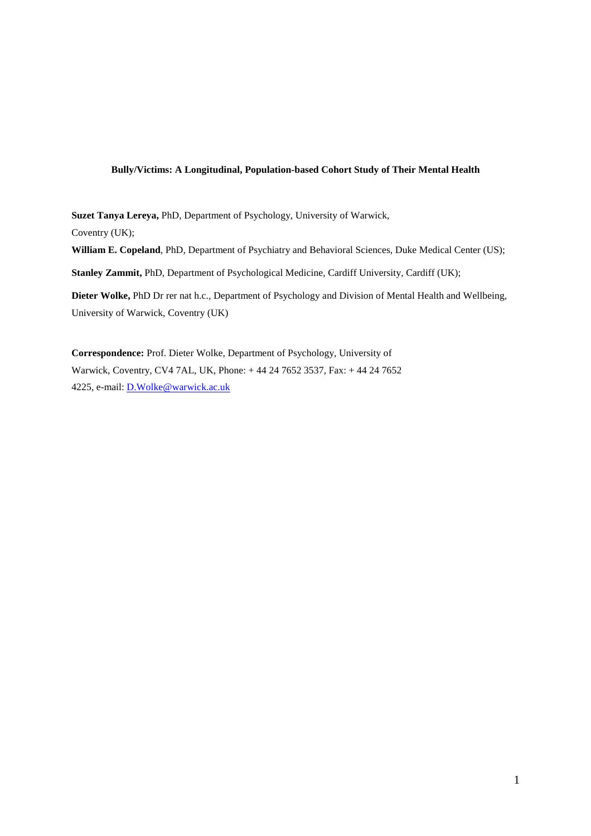## **Bully/Victims: A Longitudinal, Population-based Cohort Study of Their Mental Health**

**Suzet Tanya Lereya,** PhD, Department of Psychology, University of Warwick, Coventry (UK); **William E. Copeland**, PhD, Department of Psychiatry and Behavioral Sciences, Duke Medical Center (US); **Stanley Zammit,** PhD, Department of Psychological Medicine, Cardiff University, Cardiff (UK);

**Dieter Wolke,** PhD Dr rer nat h.c., Department of Psychology and Division of Mental Health and Wellbeing, University of Warwick, Coventry (UK)

**Correspondence:** Prof. Dieter Wolke, Department of Psychology, University of Warwick, Coventry, CV4 7AL, UK, Phone: + 44 24 7652 3537, Fax: + 44 24 7652 4225, e-mail: D.Wolke@warwick.ac.uk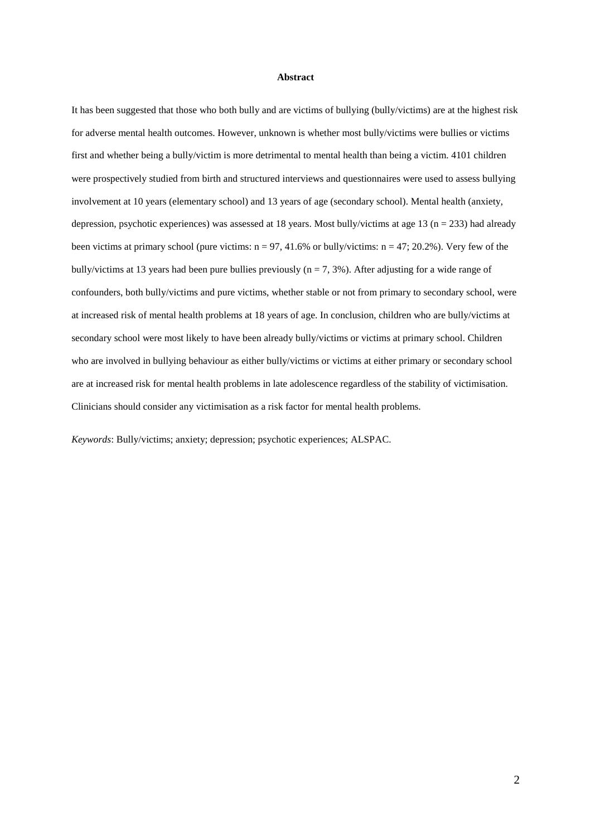#### **Abstract**

It has been suggested that those who both bully and are victims of bullying (bully/victims) are at the highest risk for adverse mental health outcomes. However, unknown is whether most bully/victims were bullies or victims first and whether being a bully/victim is more detrimental to mental health than being a victim. 4101 children were prospectively studied from birth and structured interviews and questionnaires were used to assess bullying involvement at 10 years (elementary school) and 13 years of age (secondary school). Mental health (anxiety, depression, psychotic experiences) was assessed at 18 years. Most bully/victims at age 13 ( $n = 233$ ) had already been victims at primary school (pure victims:  $n = 97, 41.6\%$  or bully/victims:  $n = 47, 20.2\%$ ). Very few of the bully/victims at 13 years had been pure bullies previously ( $n = 7, 3\%$ ). After adjusting for a wide range of confounders, both bully/victims and pure victims, whether stable or not from primary to secondary school, were at increased risk of mental health problems at 18 years of age. In conclusion, children who are bully/victims at secondary school were most likely to have been already bully/victims or victims at primary school. Children who are involved in bullying behaviour as either bully/victims or victims at either primary or secondary school are at increased risk for mental health problems in late adolescence regardless of the stability of victimisation. Clinicians should consider any victimisation as a risk factor for mental health problems.

*Keywords*: Bully/victims; anxiety; depression; psychotic experiences; ALSPAC.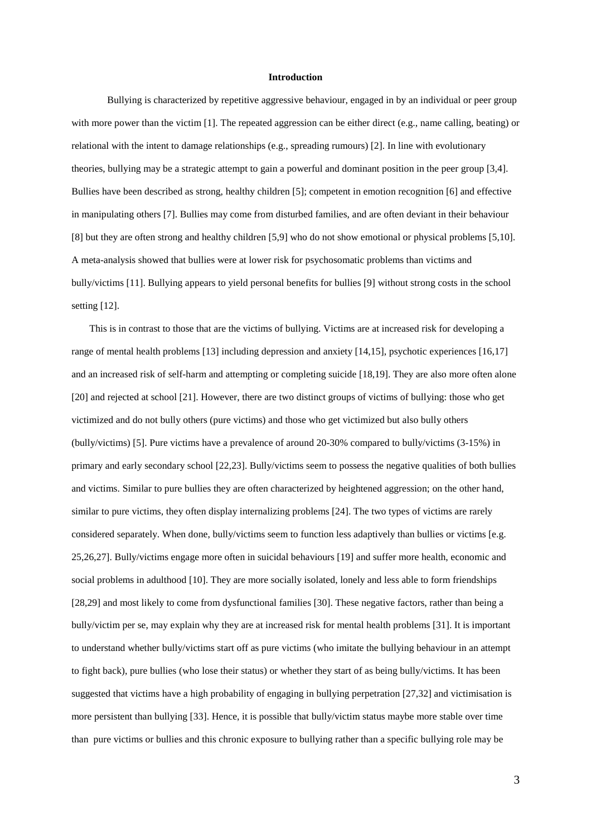#### **Introduction**

Bullying is characterized by repetitive aggressive behaviour, engaged in by an individual or peer group with more power than the victim [1]. The repeated aggression can be either direct (e.g., name calling, beating) or relational with the intent to damage relationships (e.g., spreading rumours) [2]. In line with evolutionary theories, bullying may be a strategic attempt to gain a powerful and dominant position in the peer group [3,4]. Bullies have been described as strong, healthy children [5]; competent in emotion recognition [6] and effective in manipulating others [7]. Bullies may come from disturbed families, and are often deviant in their behaviour [8] but they are often strong and healthy children [5,9] who do not show emotional or physical problems [5,10]. A meta-analysis showed that bullies were at lower risk for psychosomatic problems than victims and bully/victims [11]. Bullying appears to yield personal benefits for bullies [9] without strong costs in the school setting [12].

This is in contrast to those that are the victims of bullying. Victims are at increased risk for developing a range of mental health problems [13] including depression and anxiety [14,15], psychotic experiences [16,17] and an increased risk of self-harm and attempting or completing suicide [18,19]. They are also more often alone [20] and rejected at school [21]. However, there are two distinct groups of victims of bullying: those who get victimized and do not bully others (pure victims) and those who get victimized but also bully others (bully/victims) [5]. Pure victims have a prevalence of around 20-30% compared to bully/victims (3-15%) in primary and early secondary school [22,23]. Bully/victims seem to possess the negative qualities of both bullies and victims. Similar to pure bullies they are often characterized by heightened aggression; on the other hand, similar to pure victims, they often display internalizing problems [24]. The two types of victims are rarely considered separately. When done, bully/victims seem to function less adaptively than bullies or victims [e.g. 25,26,27]. Bully/victims engage more often in suicidal behaviours [19] and suffer more health, economic and social problems in adulthood [10]. They are more socially isolated, lonely and less able to form friendships [28,29] and most likely to come from dysfunctional families [30]. These negative factors, rather than being a bully/victim per se, may explain why they are at increased risk for mental health problems [31]. It is important to understand whether bully/victims start off as pure victims (who imitate the bullying behaviour in an attempt to fight back), pure bullies (who lose their status) or whether they start of as being bully/victims. It has been suggested that victims have a high probability of engaging in bullying perpetration [27,32] and victimisation is more persistent than bullying [33]. Hence, it is possible that bully/victim status maybe more stable over time than pure victims or bullies and this chronic exposure to bullying rather than a specific bullying role may be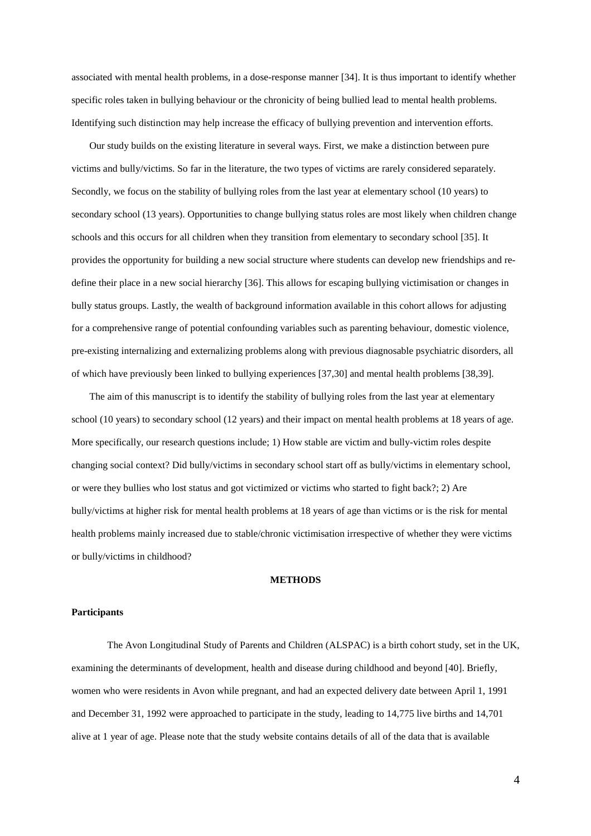associated with mental health problems, in a dose-response manner [34]. It is thus important to identify whether specific roles taken in bullying behaviour or the chronicity of being bullied lead to mental health problems. Identifying such distinction may help increase the efficacy of bullying prevention and intervention efforts.

Our study builds on the existing literature in several ways. First, we make a distinction between pure victims and bully/victims. So far in the literature, the two types of victims are rarely considered separately. Secondly, we focus on the stability of bullying roles from the last year at elementary school (10 years) to secondary school (13 years). Opportunities to change bullying status roles are most likely when children change schools and this occurs for all children when they transition from elementary to secondary school [35]. It provides the opportunity for building a new social structure where students can develop new friendships and redefine their place in a new social hierarchy [36]. This allows for escaping bullying victimisation or changes in bully status groups. Lastly, the wealth of background information available in this cohort allows for adjusting for a comprehensive range of potential confounding variables such as parenting behaviour, domestic violence, pre-existing internalizing and externalizing problems along with previous diagnosable psychiatric disorders, all of which have previously been linked to bullying experiences [37,30] and mental health problems [38,39].

The aim of this manuscript is to identify the stability of bullying roles from the last year at elementary school (10 years) to secondary school (12 years) and their impact on mental health problems at 18 years of age. More specifically, our research questions include; 1) How stable are victim and bully-victim roles despite changing social context? Did bully/victims in secondary school start off as bully/victims in elementary school, or were they bullies who lost status and got victimized or victims who started to fight back?; 2) Are bully/victims at higher risk for mental health problems at 18 years of age than victims or is the risk for mental health problems mainly increased due to stable/chronic victimisation irrespective of whether they were victims or bully/victims in childhood?

## **METHODS**

### **Participants**

The Avon Longitudinal Study of Parents and Children (ALSPAC) is a birth cohort study, set in the UK, examining the determinants of development, health and disease during childhood and beyond [40]. Briefly, women who were residents in Avon while pregnant, and had an expected delivery date between April 1, 1991 and December 31, 1992 were approached to participate in the study, leading to 14,775 live births and 14,701 alive at 1 year of age. Please note that the study website contains details of all of the data that is available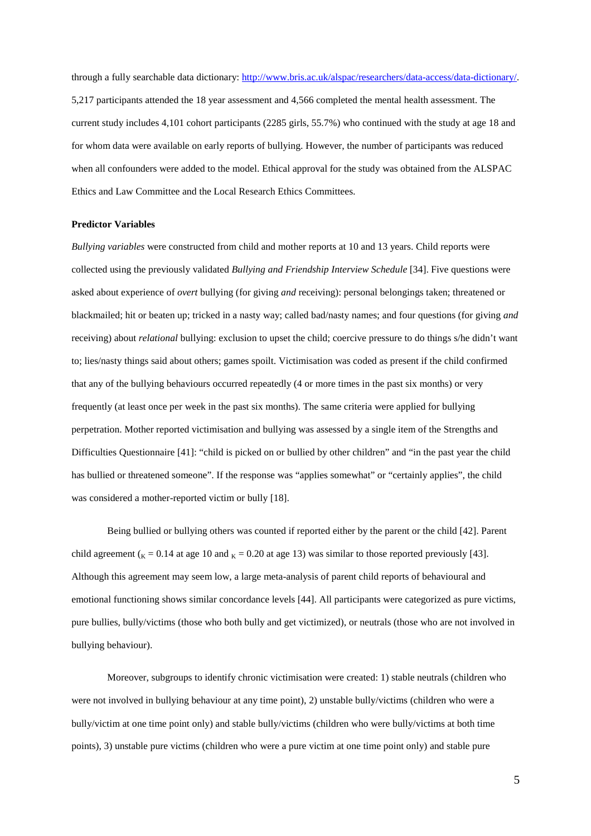through a fully searchable data dictionary: http://www.bris.ac.uk/alspac/researchers/data-access/data-dictionary/. 5,217 participants attended the 18 year assessment and 4,566 completed the mental health assessment. The current study includes 4,101 cohort participants (2285 girls, 55.7%) who continued with the study at age 18 and for whom data were available on early reports of bullying. However, the number of participants was reduced when all confounders were added to the model. Ethical approval for the study was obtained from the ALSPAC Ethics and Law Committee and the Local Research Ethics Committees.

#### **Predictor Variables**

*Bullying variables* were constructed from child and mother reports at 10 and 13 years. Child reports were collected using the previously validated *Bullying and Friendship Interview Schedule* [34]. Five questions were asked about experience of *overt* bullying (for giving *and* receiving): personal belongings taken; threatened or blackmailed; hit or beaten up; tricked in a nasty way; called bad/nasty names; and four questions (for giving *and* receiving) about *relational* bullying: exclusion to upset the child; coercive pressure to do things s/he didn't want to; lies/nasty things said about others; games spoilt. Victimisation was coded as present if the child confirmed that any of the bullying behaviours occurred repeatedly (4 or more times in the past six months) or very frequently (at least once per week in the past six months). The same criteria were applied for bullying perpetration. Mother reported victimisation and bullying was assessed by a single item of the Strengths and Difficulties Questionnaire [41]: "child is picked on or bullied by other children" and "in the past year the child has bullied or threatened someone". If the response was "applies somewhat" or "certainly applies", the child was considered a mother-reported victim or bully [18].

Being bullied or bullying others was counted if reported either by the parent or the child [42]. Parent child agreement ( $_K = 0.14$  at age 10 and  $_K = 0.20$  at age 13) was similar to those reported previously [43]. Although this agreement may seem low, a large meta-analysis of parent child reports of behavioural and emotional functioning shows similar concordance levels [44]. All participants were categorized as pure victims, pure bullies, bully/victims (those who both bully and get victimized), or neutrals (those who are not involved in bullying behaviour).

Moreover, subgroups to identify chronic victimisation were created: 1) stable neutrals (children who were not involved in bullying behaviour at any time point), 2) unstable bully/victims (children who were a bully/victim at one time point only) and stable bully/victims (children who were bully/victims at both time points), 3) unstable pure victims (children who were a pure victim at one time point only) and stable pure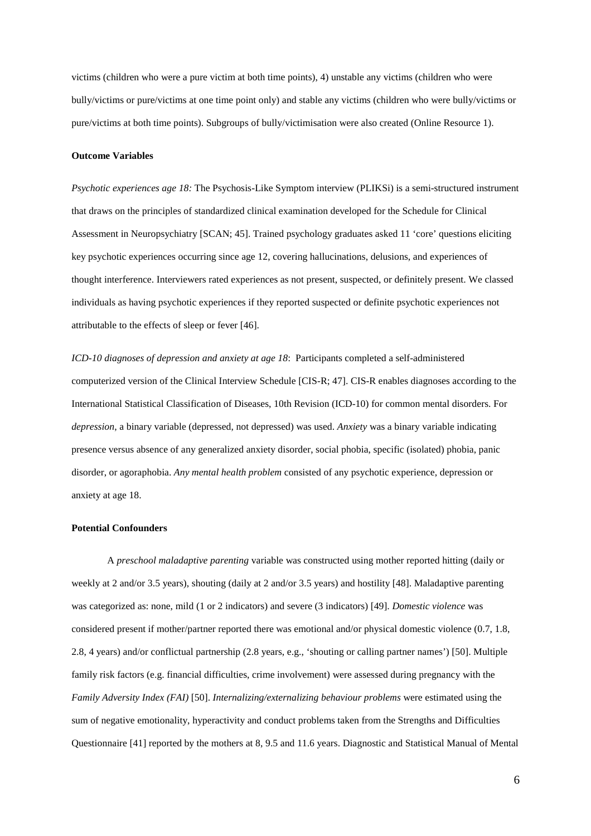victims (children who were a pure victim at both time points), 4) unstable any victims (children who were bully/victims or pure/victims at one time point only) and stable any victims (children who were bully/victims or pure/victims at both time points). Subgroups of bully/victimisation were also created (Online Resource 1).

#### **Outcome Variables**

*Psychotic experiences age 18:* The Psychosis-Like Symptom interview (PLIKSi) is a semi-structured instrument that draws on the principles of standardized clinical examination developed for the Schedule for Clinical Assessment in Neuropsychiatry [SCAN; 45]. Trained psychology graduates asked 11 'core' questions eliciting key psychotic experiences occurring since age 12, covering hallucinations, delusions, and experiences of thought interference. Interviewers rated experiences as not present, suspected, or definitely present. We classed individuals as having psychotic experiences if they reported suspected or definite psychotic experiences not attributable to the effects of sleep or fever [46].

*ICD-10 diagnoses of depression and anxiety at age 18*: Participants completed a self-administered computerized version of the Clinical Interview Schedule [CIS-R; 47]. CIS-R enables diagnoses according to the International Statistical Classification of Diseases, 10th Revision (ICD-10) for common mental disorders. For *depression*, a binary variable (depressed, not depressed) was used. *Anxiety* was a binary variable indicating presence versus absence of any generalized anxiety disorder, social phobia, specific (isolated) phobia, panic disorder, or agoraphobia. *Any mental health problem* consisted of any psychotic experience, depression or anxiety at age 18.

### **Potential Confounders**

A *preschool maladaptive parenting* variable was constructed using mother reported hitting (daily or weekly at 2 and/or 3.5 years), shouting (daily at 2 and/or 3.5 years) and hostility [48]. Maladaptive parenting was categorized as: none, mild (1 or 2 indicators) and severe (3 indicators) [49]. *Domestic violence* was considered present if mother/partner reported there was emotional and/or physical domestic violence (0.7, 1.8, 2.8, 4 years) and/or conflictual partnership (2.8 years, e.g., 'shouting or calling partner names') [50]. Multiple family risk factors (e.g. financial difficulties, crime involvement) were assessed during pregnancy with the *Family Adversity Index (FAI)* [50]. *Internalizing/externalizing behaviour problems* were estimated using the sum of negative emotionality, hyperactivity and conduct problems taken from the Strengths and Difficulties Questionnaire [41] reported by the mothers at 8, 9.5 and 11.6 years. Diagnostic and Statistical Manual of Mental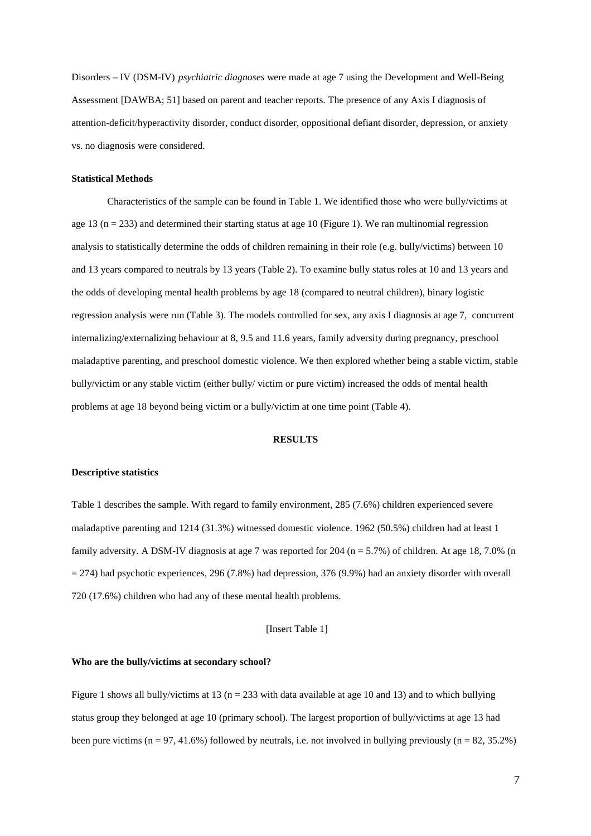Disorders – IV (DSM-IV) *psychiatric diagnoses* were made at age 7 using the Development and Well-Being Assessment [DAWBA; 51] based on parent and teacher reports. The presence of any Axis I diagnosis of attention-deficit/hyperactivity disorder, conduct disorder, oppositional defiant disorder, depression, or anxiety vs. no diagnosis were considered.

### **Statistical Methods**

Characteristics of the sample can be found in Table 1. We identified those who were bully/victims at age 13 ( $n = 233$ ) and determined their starting status at age 10 (Figure 1). We ran multinomial regression analysis to statistically determine the odds of children remaining in their role (e.g. bully/victims) between 10 and 13 years compared to neutrals by 13 years (Table 2). To examine bully status roles at 10 and 13 years and the odds of developing mental health problems by age 18 (compared to neutral children), binary logistic regression analysis were run (Table 3). The models controlled for sex, any axis I diagnosis at age 7, concurrent internalizing/externalizing behaviour at 8, 9.5 and 11.6 years, family adversity during pregnancy, preschool maladaptive parenting, and preschool domestic violence. We then explored whether being a stable victim, stable bully/victim or any stable victim (either bully/ victim or pure victim) increased the odds of mental health problems at age 18 beyond being victim or a bully/victim at one time point (Table 4).

### **RESULTS**

### **Descriptive statistics**

Table 1 describes the sample. With regard to family environment, 285 (7.6%) children experienced severe maladaptive parenting and 1214 (31.3%) witnessed domestic violence. 1962 (50.5%) children had at least 1 family adversity. A DSM-IV diagnosis at age 7 was reported for 204 (n = 5.7%) of children. At age 18, 7.0% (n  $= 274$ ) had psychotic experiences, 296 (7.8%) had depression, 376 (9.9%) had an anxiety disorder with overall 720 (17.6%) children who had any of these mental health problems.

### [Insert Table 1]

#### **Who are the bully/victims at secondary school?**

Figure 1 shows all bully/victims at 13 ( $n = 233$  with data available at age 10 and 13) and to which bullying status group they belonged at age 10 (primary school). The largest proportion of bully/victims at age 13 had been pure victims ( $n = 97, 41.6\%$ ) followed by neutrals, i.e. not involved in bullying previously ( $n = 82, 35.2\%$ )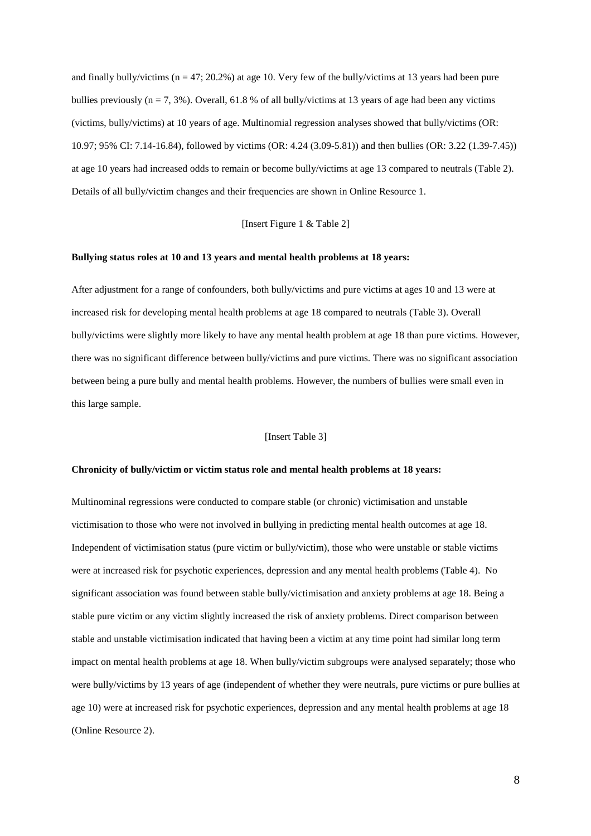and finally bully/victims ( $n = 47$ ; 20.2%) at age 10. Very few of the bully/victims at 13 years had been pure bullies previously  $(n = 7, 3\%)$ . Overall, 61.8 % of all bully/victims at 13 years of age had been any victims (victims, bully/victims) at 10 years of age. Multinomial regression analyses showed that bully/victims (OR: 10.97; 95% CI: 7.14-16.84), followed by victims (OR: 4.24 (3.09-5.81)) and then bullies (OR: 3.22 (1.39-7.45)) at age 10 years had increased odds to remain or become bully/victims at age 13 compared to neutrals (Table 2). Details of all bully/victim changes and their frequencies are shown in Online Resource 1.

### [Insert Figure 1 & Table 2]

### **Bullying status roles at 10 and 13 years and mental health problems at 18 years:**

After adjustment for a range of confounders, both bully/victims and pure victims at ages 10 and 13 were at increased risk for developing mental health problems at age 18 compared to neutrals (Table 3). Overall bully/victims were slightly more likely to have any mental health problem at age 18 than pure victims. However, there was no significant difference between bully/victims and pure victims. There was no significant association between being a pure bully and mental health problems. However, the numbers of bullies were small even in this large sample.

#### [Insert Table 3]

#### **Chronicity of bully/victim or victim status role and mental health problems at 18 years:**

Multinominal regressions were conducted to compare stable (or chronic) victimisation and unstable victimisation to those who were not involved in bullying in predicting mental health outcomes at age 18. Independent of victimisation status (pure victim or bully/victim), those who were unstable or stable victims were at increased risk for psychotic experiences, depression and any mental health problems (Table 4). No significant association was found between stable bully/victimisation and anxiety problems at age 18. Being a stable pure victim or any victim slightly increased the risk of anxiety problems. Direct comparison between stable and unstable victimisation indicated that having been a victim at any time point had similar long term impact on mental health problems at age 18. When bully/victim subgroups were analysed separately; those who were bully/victims by 13 years of age (independent of whether they were neutrals, pure victims or pure bullies at age 10) were at increased risk for psychotic experiences, depression and any mental health problems at age 18 (Online Resource 2).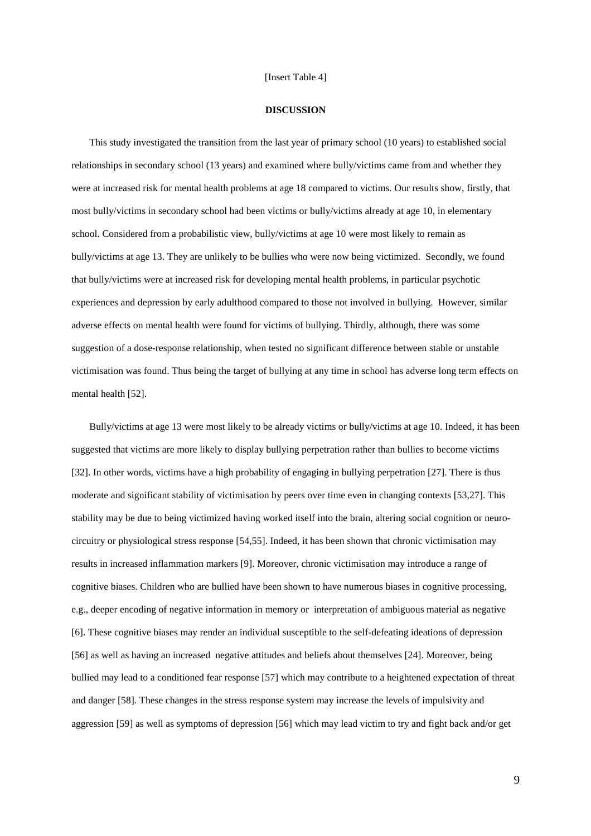#### [Insert Table 4]

### **DISCUSSION**

This study investigated the transition from the last year of primary school (10 years) to established social relationships in secondary school (13 years) and examined where bully/victims came from and whether they were at increased risk for mental health problems at age 18 compared to victims. Our results show, firstly, that most bully/victims in secondary school had been victims or bully/victims already at age 10, in elementary school. Considered from a probabilistic view, bully/victims at age 10 were most likely to remain as bully/victims at age 13. They are unlikely to be bullies who were now being victimized. Secondly, we found that bully/victims were at increased risk for developing mental health problems, in particular psychotic experiences and depression by early adulthood compared to those not involved in bullying. However, similar adverse effects on mental health were found for victims of bullying. Thirdly, although, there was some suggestion of a dose-response relationship, when tested no significant difference between stable or unstable victimisation was found. Thus being the target of bullying at any time in school has adverse long term effects on mental health [52].

Bully/victims at age 13 were most likely to be already victims or bully/victims at age 10. Indeed, it has been suggested that victims are more likely to display bullying perpetration rather than bullies to become victims [32]. In other words, victims have a high probability of engaging in bullying perpetration [27]. There is thus moderate and significant stability of victimisation by peers over time even in changing contexts [53,27]. This stability may be due to being victimized having worked itself into the brain, altering social cognition or neurocircuitry or physiological stress response [54,55]. Indeed, it has been shown that chronic victimisation may results in increased inflammation markers [9]. Moreover, chronic victimisation may introduce a range of cognitive biases. Children who are bullied have been shown to have numerous biases in cognitive processing, e.g., deeper encoding of negative information in memory or interpretation of ambiguous material as negative [6]. These cognitive biases may render an individual susceptible to the self-defeating ideations of depression [56] as well as having an increased negative attitudes and beliefs about themselves [24]. Moreover, being bullied may lead to a conditioned fear response [57] which may contribute to a heightened expectation of threat and danger [58]. These changes in the stress response system may increase the levels of impulsivity and aggression [59] as well as symptoms of depression [56] which may lead victim to try and fight back and/or get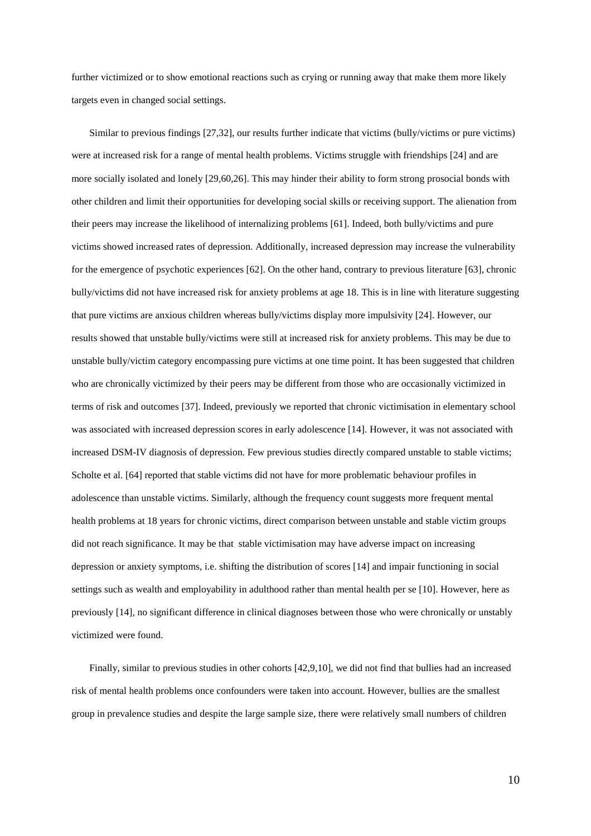further victimized or to show emotional reactions such as crying or running away that make them more likely targets even in changed social settings.

Similar to previous findings [27,32], our results further indicate that victims (bully/victims or pure victims) were at increased risk for a range of mental health problems. Victims struggle with friendships [24] and are more socially isolated and lonely [29,60,26]. This may hinder their ability to form strong prosocial bonds with other children and limit their opportunities for developing social skills or receiving support. The alienation from their peers may increase the likelihood of internalizing problems [61]. Indeed, both bully/victims and pure victims showed increased rates of depression. Additionally, increased depression may increase the vulnerability for the emergence of psychotic experiences [62]. On the other hand, contrary to previous literature [63], chronic bully/victims did not have increased risk for anxiety problems at age 18. This is in line with literature suggesting that pure victims are anxious children whereas bully/victims display more impulsivity [24]. However, our results showed that unstable bully/victims were still at increased risk for anxiety problems. This may be due to unstable bully/victim category encompassing pure victims at one time point. It has been suggested that children who are chronically victimized by their peers may be different from those who are occasionally victimized in terms of risk and outcomes [37]. Indeed, previously we reported that chronic victimisation in elementary school was associated with increased depression scores in early adolescence [14]. However, it was not associated with increased DSM-IV diagnosis of depression. Few previous studies directly compared unstable to stable victims; Scholte et al. [64] reported that stable victims did not have for more problematic behaviour profiles in adolescence than unstable victims. Similarly, although the frequency count suggests more frequent mental health problems at 18 years for chronic victims, direct comparison between unstable and stable victim groups did not reach significance. It may be that stable victimisation may have adverse impact on increasing depression or anxiety symptoms, i.e. shifting the distribution of scores [14] and impair functioning in social settings such as wealth and employability in adulthood rather than mental health per se [10]. However, here as previously [14], no significant difference in clinical diagnoses between those who were chronically or unstably victimized were found.

Finally, similar to previous studies in other cohorts [42,9,10], we did not find that bullies had an increased risk of mental health problems once confounders were taken into account. However, bullies are the smallest group in prevalence studies and despite the large sample size, there were relatively small numbers of children

10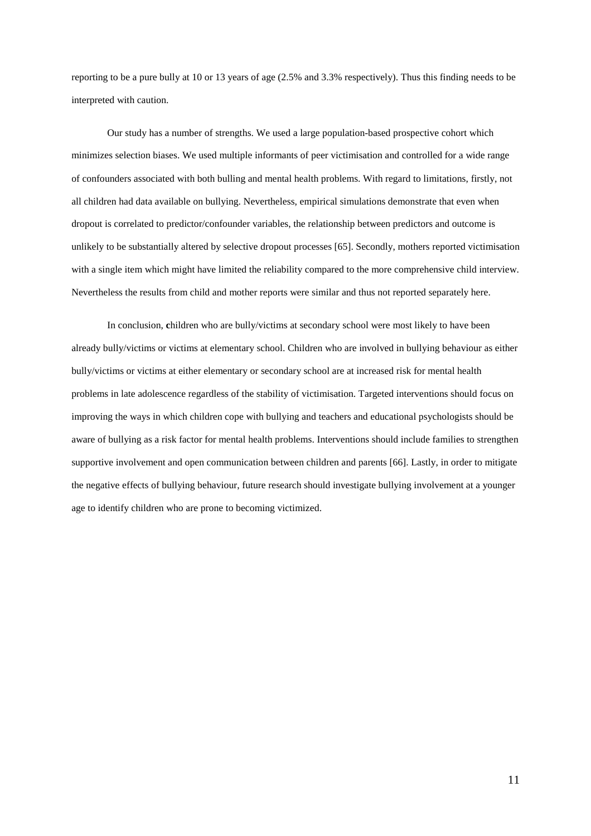reporting to be a pure bully at 10 or 13 years of age (2.5% and 3.3% respectively). Thus this finding needs to be interpreted with caution.

Our study has a number of strengths. We used a large population-based prospective cohort which minimizes selection biases. We used multiple informants of peer victimisation and controlled for a wide range of confounders associated with both bulling and mental health problems. With regard to limitations, firstly, not all children had data available on bullying. Nevertheless, empirical simulations demonstrate that even when dropout is correlated to predictor/confounder variables, the relationship between predictors and outcome is unlikely to be substantially altered by selective dropout processes [65]. Secondly, mothers reported victimisation with a single item which might have limited the reliability compared to the more comprehensive child interview. Nevertheless the results from child and mother reports were similar and thus not reported separately here.

In conclusion, children who are bully/victims at secondary school were most likely to have been already bully/victims or victims at elementary school. Children who are involved in bullying behaviour as either bully/victims or victims at either elementary or secondary school are at increased risk for mental health problems in late adolescence regardless of the stability of victimisation. Targeted interventions should focus on improving the ways in which children cope with bullying and teachers and educational psychologists should be aware of bullying as a risk factor for mental health problems. Interventions should include families to strengthen supportive involvement and open communication between children and parents [66]. Lastly, in order to mitigate the negative effects of bullying behaviour, future research should investigate bullying involvement at a younger age to identify children who are prone to becoming victimized.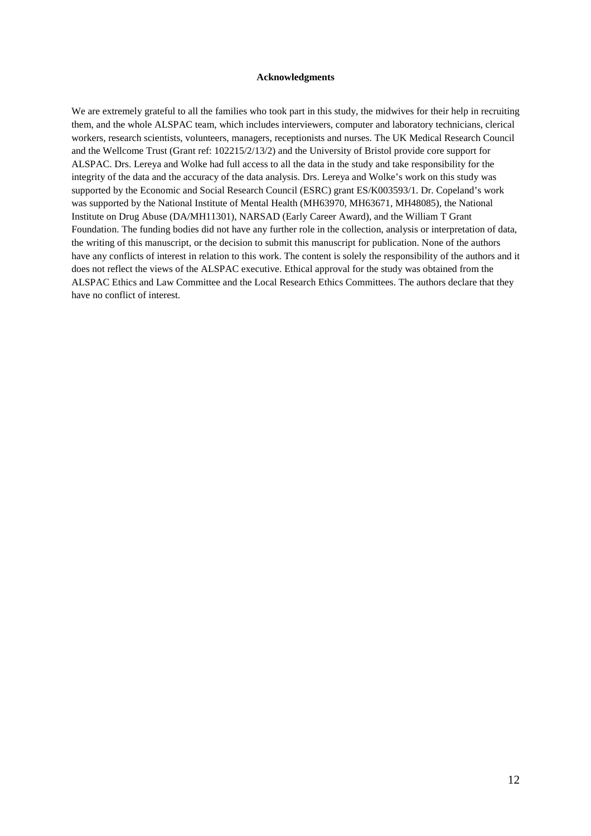### **Acknowledgments**

We are extremely grateful to all the families who took part in this study, the midwives for their help in recruiting them, and the whole ALSPAC team, which includes interviewers, computer and laboratory technicians, clerical workers, research scientists, volunteers, managers, receptionists and nurses. The UK Medical Research Council and the Wellcome Trust (Grant ref: 102215/2/13/2) and the University of Bristol provide core support for ALSPAC. Drs. Lereya and Wolke had full access to all the data in the study and take responsibility for the integrity of the data and the accuracy of the data analysis. Drs. Lereya and Wolke's work on this study was supported by the Economic and Social Research Council (ESRC) grant ES/K003593/1. Dr. Copeland's work was supported by the National Institute of Mental Health (MH63970, MH63671, MH48085), the National Institute on Drug Abuse (DA/MH11301), NARSAD (Early Career Award), and the William T Grant Foundation. The funding bodies did not have any further role in the collection, analysis or interpretation of data, the writing of this manuscript, or the decision to submit this manuscript for publication. None of the authors have any conflicts of interest in relation to this work. The content is solely the responsibility of the authors and it does not reflect the views of the ALSPAC executive. Ethical approval for the study was obtained from the ALSPAC Ethics and Law Committee and the Local Research Ethics Committees. The authors declare that they have no conflict of interest.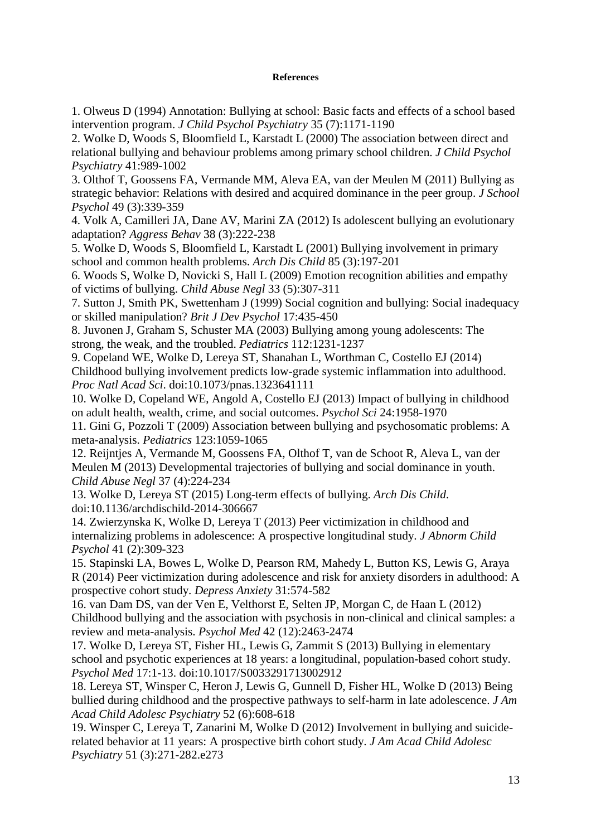## **References**

1. Olweus D (1994) Annotation: Bullying at school: Basic facts and effects of a school based intervention program. *J Child Psychol Psychiatry* 35 (7):1171-1190

2. Wolke D, Woods S, Bloomfield L, Karstadt L (2000) The association between direct and relational bullying and behaviour problems among primary school children. *J Child Psychol Psychiatry* 41:989-1002

3. Olthof T, Goossens FA, Vermande MM, Aleva EA, van der Meulen M (2011) Bullying as strategic behavior: Relations with desired and acquired dominance in the peer group. *J School Psychol* 49 (3):339-359

4. Volk A, Camilleri JA, Dane AV, Marini ZA (2012) Is adolescent bullying an evolutionary adaptation? *Aggress Behav* 38 (3):222-238

5. Wolke D, Woods S, Bloomfield L, Karstadt L (2001) Bullying involvement in primary school and common health problems. *Arch Dis Child* 85 (3):197-201

6. Woods S, Wolke D, Novicki S, Hall L (2009) Emotion recognition abilities and empathy of victims of bullying. *Child Abuse Negl* 33 (5):307-311

7. Sutton J, Smith PK, Swettenham J (1999) Social cognition and bullying: Social inadequacy or skilled manipulation? *Brit J Dev Psychol* 17:435-450

8. Juvonen J, Graham S, Schuster MA (2003) Bullying among young adolescents: The strong, the weak, and the troubled. *Pediatrics* 112:1231-1237

9. Copeland WE, Wolke D, Lereya ST, Shanahan L, Worthman C, Costello EJ (2014) Childhood bullying involvement predicts low-grade systemic inflammation into adulthood. *Proc Natl Acad Sci*. doi:10.1073/pnas.1323641111

10. Wolke D, Copeland WE, Angold A, Costello EJ (2013) Impact of bullying in childhood on adult health, wealth, crime, and social outcomes. *Psychol Sci* 24:1958-1970

11. Gini G, Pozzoli T (2009) Association between bullying and psychosomatic problems: A meta-analysis. *Pediatrics* 123:1059-1065

12. Reijntjes A, Vermande M, Goossens FA, Olthof T, van de Schoot R, Aleva L, van der Meulen M (2013) Developmental trajectories of bullying and social dominance in youth. *Child Abuse Negl* 37 (4):224-234

13. Wolke D, Lereya ST (2015) Long-term effects of bullying. *Arch Dis Child*. doi:10.1136/archdischild-2014-306667

14. Zwierzynska K, Wolke D, Lereya T (2013) Peer victimization in childhood and internalizing problems in adolescence: A prospective longitudinal study. *J Abnorm Child Psychol* 41 (2):309-323

15. Stapinski LA, Bowes L, Wolke D, Pearson RM, Mahedy L, Button KS, Lewis G, Araya R (2014) Peer victimization during adolescence and risk for anxiety disorders in adulthood: A prospective cohort study. *Depress Anxiety* 31:574-582

16. van Dam DS, van der Ven E, Velthorst E, Selten JP, Morgan C, de Haan L (2012) Childhood bullying and the association with psychosis in non-clinical and clinical samples: a review and meta-analysis. *Psychol Med* 42 (12):2463-2474

17. Wolke D, Lereya ST, Fisher HL, Lewis G, Zammit S (2013) Bullying in elementary school and psychotic experiences at 18 years: a longitudinal, population-based cohort study. *Psychol Med* 17:1-13. doi:10.1017/S0033291713002912

18. Lereya ST, Winsper C, Heron J, Lewis G, Gunnell D, Fisher HL, Wolke D (2013) Being bullied during childhood and the prospective pathways to self-harm in late adolescence. *J Am Acad Child Adolesc Psychiatry* 52 (6):608-618

19. Winsper C, Lereya T, Zanarini M, Wolke D (2012) Involvement in bullying and suiciderelated behavior at 11 years: A prospective birth cohort study. *J Am Acad Child Adolesc Psychiatry* 51 (3):271-282.e273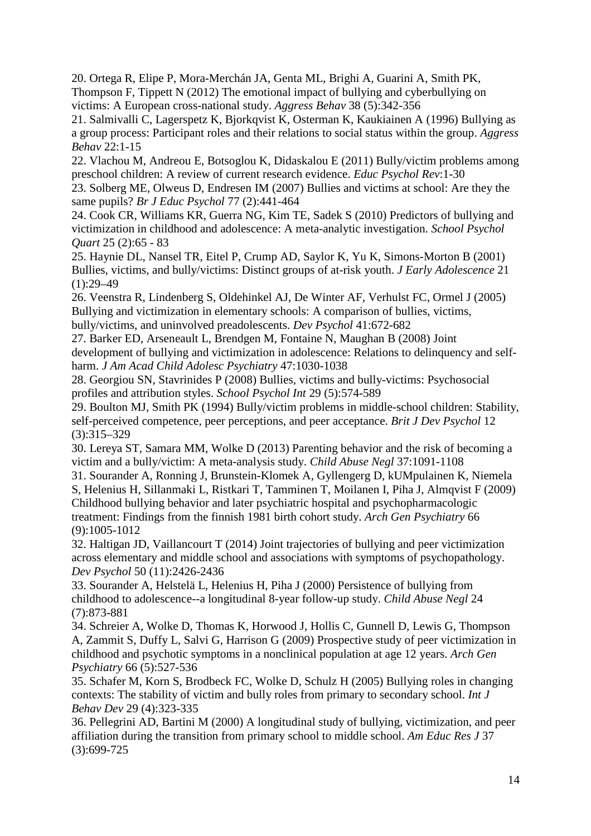20. Ortega R, Elipe P, Mora-Merchán JA, Genta ML, Brighi A, Guarini A, Smith PK, Thompson F, Tippett N (2012) The emotional impact of bullying and cyberbullying on victims: A European cross-national study. *Aggress Behav* 38 (5):342-356

21. Salmivalli C, Lagerspetz K, Bjorkqvist K, Osterman K, Kaukiainen A (1996) Bullying as a group process: Participant roles and their relations to social status within the group. *Aggress Behav* 22:1-15

22. Vlachou M, Andreou E, Botsoglou K, Didaskalou E (2011) Bully/victim problems among preschool children: A review of current research evidence. *Educ Psychol Rev*:1-30

23. Solberg ME, Olweus D, Endresen IM (2007) Bullies and victims at school: Are they the same pupils? *Br J Educ Psychol* 77 (2):441-464

24. Cook CR, Williams KR, Guerra NG, Kim TE, Sadek S (2010) Predictors of bullying and victimization in childhood and adolescence: A meta-analytic investigation. *School Psychol Quart* 25 (2):65 - 83

25. Haynie DL, Nansel TR, Eitel P, Crump AD, Saylor K, Yu K, Simons-Morton B (2001) Bullies, victims, and bully/victims: Distinct groups of at-risk youth. *J Early Adolescence* 21  $(1):29-49$ 

26. Veenstra R, Lindenberg S, Oldehinkel AJ, De Winter AF, Verhulst FC, Ormel J (2005) Bullying and victimization in elementary schools: A comparison of bullies, victims, bully/victims, and uninvolved preadolescents. *Dev Psychol* 41:672-682

27. Barker ED, Arseneault L, Brendgen M, Fontaine N, Maughan B (2008) Joint development of bullying and victimization in adolescence: Relations to delinquency and selfharm. *J Am Acad Child Adolesc Psychiatry* 47:1030-1038

28. Georgiou SN, Stavrinides P (2008) Bullies, victims and bully-victims: Psychosocial profiles and attribution styles. *School Psychol Int* 29 (5):574-589

29. Boulton MJ, Smith PK (1994) Bully/victim problems in middle-school children: Stability, self-perceived competence, peer perceptions, and peer acceptance. *Brit J Dev Psychol* 12 (3):315–329

30. Lereya ST, Samara MM, Wolke D (2013) Parenting behavior and the risk of becoming a victim and a bully/victim: A meta-analysis study. *Child Abuse Negl* 37:1091-1108

31. Sourander A, Ronning J, Brunstein-Klomek A, Gyllengerg D, kUMpulainen K, Niemela S, Helenius H, Sillanmaki L, Ristkari T, Tamminen T, Moilanen I, Piha J, Almqvist F (2009) Childhood bullying behavior and later psychiatric hospital and psychopharmacologic treatment: Findings from the finnish 1981 birth cohort study. *Arch Gen Psychiatry* 66 (9):1005-1012

32. Haltigan JD, Vaillancourt T (2014) Joint trajectories of bullying and peer victimization across elementary and middle school and associations with symptoms of psychopathology. *Dev Psychol* 50 (11):2426-2436

33. Sourander A, Helstelä L, Helenius H, Piha J (2000) Persistence of bullying from childhood to adolescence--a longitudinal 8-year follow-up study. *Child Abuse Negl* 24 (7):873-881

34. Schreier A, Wolke D, Thomas K, Horwood J, Hollis C, Gunnell D, Lewis G, Thompson A, Zammit S, Duffy L, Salvi G, Harrison G (2009) Prospective study of peer victimization in childhood and psychotic symptoms in a nonclinical population at age 12 years. *Arch Gen Psychiatry* 66 (5):527-536

35. Schafer M, Korn S, Brodbeck FC, Wolke D, Schulz H (2005) Bullying roles in changing contexts: The stability of victim and bully roles from primary to secondary school. *Int J Behav Dev* 29 (4):323-335

36. Pellegrini AD, Bartini M (2000) A longitudinal study of bullying, victimization, and peer affiliation during the transition from primary school to middle school. *Am Educ Res J* 37 (3):699-725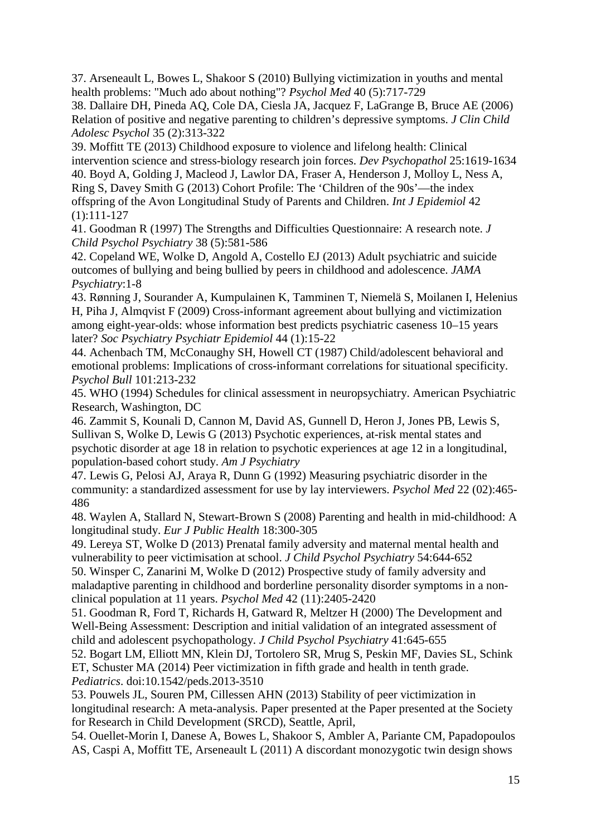37. Arseneault L, Bowes L, Shakoor S (2010) Bullying victimization in youths and mental health problems: "Much ado about nothing"? *Psychol Med* 40 (5):717-729

38. Dallaire DH, Pineda AQ, Cole DA, Ciesla JA, Jacquez F, LaGrange B, Bruce AE (2006) Relation of positive and negative parenting to children's depressive symptoms. *J Clin Child Adolesc Psychol* 35 (2):313-322

39. Moffitt TE (2013) Childhood exposure to violence and lifelong health: Clinical intervention science and stress-biology research join forces. *Dev Psychopathol* 25:1619-1634 40. Boyd A, Golding J, Macleod J, Lawlor DA, Fraser A, Henderson J, Molloy L, Ness A, Ring S, Davey Smith G (2013) Cohort Profile: The 'Children of the 90s'—the index offspring of the Avon Longitudinal Study of Parents and Children. *Int J Epidemiol* 42 (1):111-127

41. Goodman R (1997) The Strengths and Difficulties Questionnaire: A research note. *J Child Psychol Psychiatry* 38 (5):581-586

42. Copeland WE, Wolke D, Angold A, Costello EJ (2013) Adult psychiatric and suicide outcomes of bullying and being bullied by peers in childhood and adolescence. *JAMA Psychiatry*:1-8

43. Rønning J, Sourander A, Kumpulainen K, Tamminen T, Niemelä S, Moilanen I, Helenius H, Piha J, Almqvist F (2009) Cross-informant agreement about bullying and victimization among eight-year-olds: whose information best predicts psychiatric caseness 10–15 years later? *Soc Psychiatry Psychiatr Epidemiol* 44 (1):15-22

44. Achenbach TM, McConaughy SH, Howell CT (1987) Child/adolescent behavioral and emotional problems: Implications of cross-informant correlations for situational specificity. *Psychol Bull* 101:213-232

45. WHO (1994) Schedules for clinical assessment in neuropsychiatry. American Psychiatric Research, Washington, DC

46. Zammit S, Kounali D, Cannon M, David AS, Gunnell D, Heron J, Jones PB, Lewis S, Sullivan S, Wolke D, Lewis G (2013) Psychotic experiences, at-risk mental states and psychotic disorder at age 18 in relation to psychotic experiences at age 12 in a longitudinal, population-based cohort study. *Am J Psychiatry*

47. Lewis G, Pelosi AJ, Araya R, Dunn G (1992) Measuring psychiatric disorder in the community: a standardized assessment for use by lay interviewers. *Psychol Med* 22 (02):465- 486

48. Waylen A, Stallard N, Stewart-Brown S (2008) Parenting and health in mid-childhood: A longitudinal study. *Eur J Public Health* 18:300-305

49. Lereya ST, Wolke D (2013) Prenatal family adversity and maternal mental health and vulnerability to peer victimisation at school. *J Child Psychol Psychiatry* 54:644-652 50. Winsper C, Zanarini M, Wolke D (2012) Prospective study of family adversity and maladaptive parenting in childhood and borderline personality disorder symptoms in a nonclinical population at 11 years. *Psychol Med* 42 (11):2405-2420

51. Goodman R, Ford T, Richards H, Gatward R, Meltzer H (2000) The Development and Well-Being Assessment: Description and initial validation of an integrated assessment of child and adolescent psychopathology. *J Child Psychol Psychiatry* 41:645-655

52. Bogart LM, Elliott MN, Klein DJ, Tortolero SR, Mrug S, Peskin MF, Davies SL, Schink ET, Schuster MA (2014) Peer victimization in fifth grade and health in tenth grade. *Pediatrics*. doi:10.1542/peds.2013-3510

53. Pouwels JL, Souren PM, Cillessen AHN (2013) Stability of peer victimization in longitudinal research: A meta-analysis. Paper presented at the Paper presented at the Society for Research in Child Development (SRCD), Seattle, April,

54. Ouellet-Morin I, Danese A, Bowes L, Shakoor S, Ambler A, Pariante CM, Papadopoulos AS, Caspi A, Moffitt TE, Arseneault L (2011) A discordant monozygotic twin design shows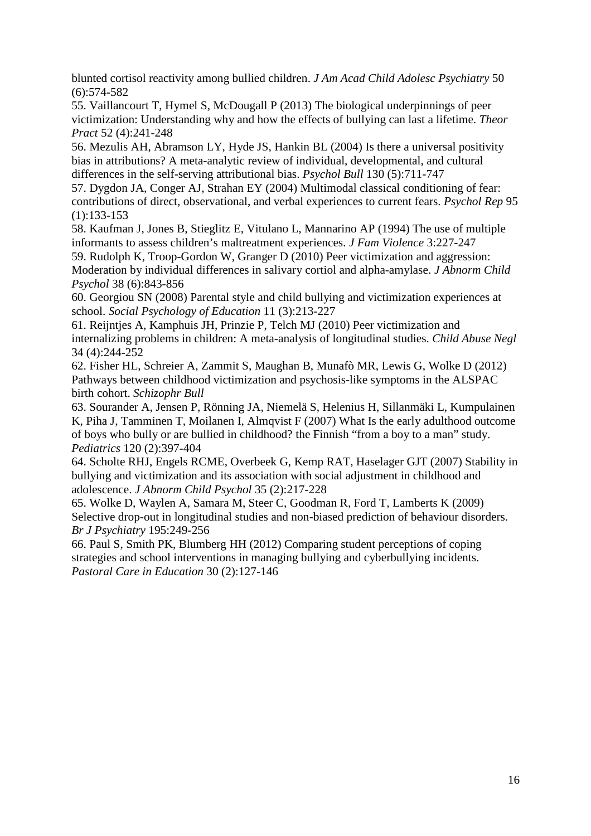blunted cortisol reactivity among bullied children. *J Am Acad Child Adolesc Psychiatry* 50 (6):574-582

55. Vaillancourt T, Hymel S, McDougall P (2013) The biological underpinnings of peer victimization: Understanding why and how the effects of bullying can last a lifetime. *Theor Pract* 52 (4):241-248

56. Mezulis AH, Abramson LY, Hyde JS, Hankin BL (2004) Is there a universal positivity bias in attributions? A meta-analytic review of individual, developmental, and cultural differences in the self-serving attributional bias. *Psychol Bull* 130 (5):711-747

57. Dygdon JA, Conger AJ, Strahan EY (2004) Multimodal classical conditioning of fear: contributions of direct, observational, and verbal experiences to current fears. *Psychol Rep* 95 (1):133-153

58. Kaufman J, Jones B, Stieglitz E, Vitulano L, Mannarino AP (1994) The use of multiple informants to assess children's maltreatment experiences. *J Fam Violence* 3:227-247

59. Rudolph K, Troop-Gordon W, Granger D (2010) Peer victimization and aggression: Moderation by individual differences in salivary cortiol and alpha-amylase. *J Abnorm Child Psychol* 38 (6):843-856

60. Georgiou SN (2008) Parental style and child bullying and victimization experiences at school. *Social Psychology of Education* 11 (3):213-227

61. Reijntjes A, Kamphuis JH, Prinzie P, Telch MJ (2010) Peer victimization and internalizing problems in children: A meta-analysis of longitudinal studies. *Child Abuse Negl* 34 (4):244-252

62. Fisher HL, Schreier A, Zammit S, Maughan B, Munafò MR, Lewis G, Wolke D (2012) Pathways between childhood victimization and psychosis-like symptoms in the ALSPAC birth cohort. *Schizophr Bull*

63. Sourander A, Jensen P, Rönning JA, Niemelä S, Helenius H, Sillanmäki L, Kumpulainen K, Piha J, Tamminen T, Moilanen I, Almqvist F (2007) What Is the early adulthood outcome of boys who bully or are bullied in childhood? the Finnish "from a boy to a man" study. *Pediatrics* 120 (2):397-404

64. Scholte RHJ, Engels RCME, Overbeek G, Kemp RAT, Haselager GJT (2007) Stability in bullying and victimization and its association with social adjustment in childhood and adolescence. *J Abnorm Child Psychol* 35 (2):217-228

65. Wolke D, Waylen A, Samara M, Steer C, Goodman R, Ford T, Lamberts K (2009) Selective drop-out in longitudinal studies and non-biased prediction of behaviour disorders. *Br J Psychiatry* 195:249-256

66. Paul S, Smith PK, Blumberg HH (2012) Comparing student perceptions of coping strategies and school interventions in managing bullying and cyberbullying incidents. *Pastoral Care in Education* 30 (2):127-146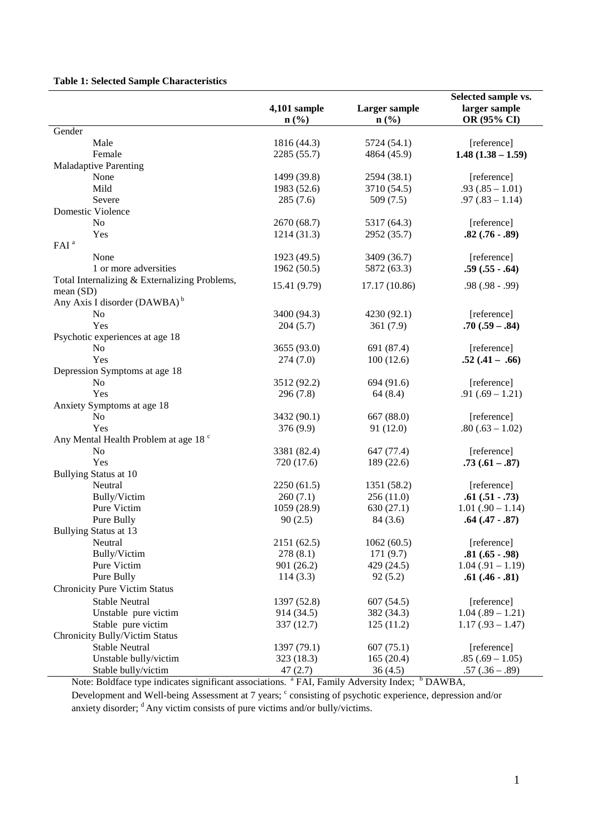## **Table 1: Selected Sample Characteristics**

|                                                  |                             |                             | Selected sample vs. |  |  |
|--------------------------------------------------|-----------------------------|-----------------------------|---------------------|--|--|
|                                                  | 4,101 sample                | Larger sample               | larger sample       |  |  |
|                                                  | $n\left(\frac{9}{6}\right)$ | $n\left(\frac{0}{0}\right)$ | OR (95% CI)         |  |  |
| Gender                                           |                             |                             |                     |  |  |
| Male                                             | 1816 (44.3)                 | 5724 (54.1)                 | [reference]         |  |  |
| Female                                           | 2285 (55.7)                 | 4864 (45.9)                 | $1.48(1.38 - 1.59)$ |  |  |
| <b>Maladaptive Parenting</b>                     |                             |                             |                     |  |  |
| None                                             | 1499 (39.8)                 | 2594 (38.1)                 | [reference]         |  |  |
| Mild                                             | 1983 (52.6)                 | 3710 (54.5)                 | $.93(.85 - 1.01)$   |  |  |
| Severe                                           | 285(7.6)                    | 509(7.5)                    | $.97(.83 - 1.14)$   |  |  |
| Domestic Violence                                |                             |                             |                     |  |  |
| N <sub>o</sub>                                   | 2670 (68.7)                 | 5317 (64.3)                 | [reference]         |  |  |
| Yes                                              | 1214(31.3)                  | 2952 (35.7)                 | $.82(.76-.89)$      |  |  |
| FAI <sup>a</sup>                                 |                             |                             |                     |  |  |
| None                                             | 1923 (49.5)                 | 3409 (36.7)                 | [reference]         |  |  |
| 1 or more adversities                            | 1962(50.5)                  | 5872 (63.3)                 | $.59(.55-.64)$      |  |  |
|                                                  |                             |                             |                     |  |  |
| Total Internalizing & Externalizing Problems,    | 15.41 (9.79)                | 17.17 (10.86)               | $.98(.98-.99)$      |  |  |
| mean(SD)                                         |                             |                             |                     |  |  |
| Any Axis I disorder (DAWBA) <sup>b</sup>         |                             |                             |                     |  |  |
| No                                               | 3400 (94.3)                 | 4230 (92.1)                 | [reference]         |  |  |
| Yes                                              | 204(5.7)                    | 361(7.9)                    | $.70(.59-.84)$      |  |  |
| Psychotic experiences at age 18                  |                             |                             |                     |  |  |
| No                                               | 3655 (93.0)                 | 691 (87.4)                  | [reference]         |  |  |
| Yes                                              | 274(7.0)                    | 100(12.6)                   | $.52(.41-.66)$      |  |  |
| Depression Symptoms at age 18                    |                             |                             |                     |  |  |
| No                                               | 3512 (92.2)                 | 694 (91.6)                  | [reference]         |  |  |
| Yes                                              | 296(7.8)                    | 64(8.4)                     | $.91(.69 - 1.21)$   |  |  |
| Anxiety Symptoms at age 18                       |                             |                             |                     |  |  |
| N <sub>o</sub>                                   | 3432 (90.1)                 | 667 (88.0)                  | [reference]         |  |  |
| Yes                                              | 376 (9.9)                   | 91 (12.0)                   | $.80(.63 - 1.02)$   |  |  |
| Any Mental Health Problem at age 18 <sup>c</sup> |                             |                             |                     |  |  |
| No                                               | 3381 (82.4)                 | 647 (77.4)                  | [reference]         |  |  |
| Yes                                              | 720 (17.6)                  | 189 (22.6)                  | $.73(.61-.87)$      |  |  |
| Bullying Status at 10                            |                             |                             |                     |  |  |
| Neutral                                          | 2250(61.5)                  | 1351 (58.2)                 | [reference]         |  |  |
| Bully/Victim                                     | 260(7.1)                    | 256(11.0)                   | $.61(.51-.73)$      |  |  |
| Pure Victim                                      | 1059 (28.9)                 | 630(27.1)                   | $1.01(.90 - 1.14)$  |  |  |
| Pure Bully                                       | 90(2.5)                     | 84 (3.6)                    | $.64(.47-.87)$      |  |  |
| <b>Bullying Status at 13</b>                     |                             |                             |                     |  |  |
| Neutral                                          | 2151 (62.5)                 | 1062(60.5)                  | [reference]         |  |  |
| Bully/Victim                                     | 278(8.1)                    | 171(9.7)                    | $.81(.65-.98)$      |  |  |
| Pure Victim                                      | 901 (26.2)                  | 429 (24.5)                  | $1.04(.91 - 1.19)$  |  |  |
| Pure Bully                                       | 114(3.3)                    | 92(5.2)                     | $.61(.46-.81)$      |  |  |
| <b>Chronicity Pure Victim Status</b>             |                             |                             |                     |  |  |
|                                                  |                             |                             |                     |  |  |
| <b>Stable Neutral</b>                            | 1397 (52.8)                 | 607(54.5)                   | [reference]         |  |  |
| Unstable pure victim                             | 914 (34.5)                  | 382 (34.3)                  | $1.04(.89 - 1.21)$  |  |  |
| Stable pure victim                               | 337 (12.7)                  | 125(11.2)                   | $1.17(.93 - 1.47)$  |  |  |
| Chronicity Bully/Victim Status                   |                             |                             |                     |  |  |
| <b>Stable Neutral</b>                            | 1397 (79.1)                 | 607(75.1)                   | [reference]         |  |  |
| Unstable bully/victim                            | 323 (18.3)                  | 165(20.4)                   | $.85(.69 - 1.05)$   |  |  |
| Stable bully/victim                              | 47(2.7)                     | 36(4.5)                     | $.57(.36-.89)$      |  |  |

Note: Boldface type indicates significant associations. <sup>a</sup> FAI, Family Adversity Index; <sup>b</sup> DAWBA, Development and Well-being Assessment at 7 years;  $\degree$  consisting of psychotic experience, depression and/or anxiety disorder;  $\textsuperscript{d}$  Any victim consists of pure victims and/or bully/victims.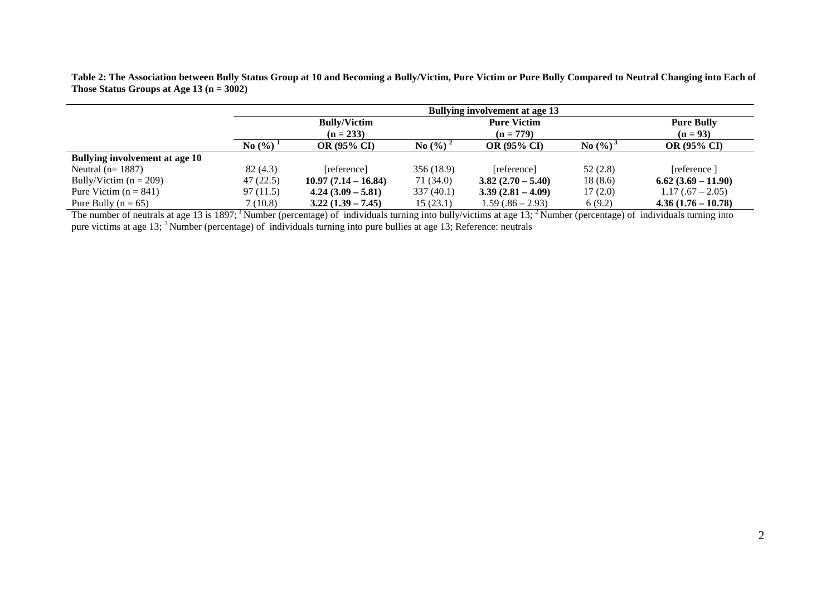|                                       | <b>Bullying involvement at age 13</b> |                     |            |                                   |                                 |                    |  |
|---------------------------------------|---------------------------------------|---------------------|------------|-----------------------------------|---------------------------------|--------------------|--|
|                                       | <b>Bully/Victim</b><br>$(n = 233)$    |                     |            | <b>Pure Victim</b><br>$(n = 779)$ | <b>Pure Bully</b><br>$(n = 93)$ |                    |  |
|                                       | No $(\% )$                            | <b>OR (95% CI)</b>  | No $(\% )$ | <b>OR (95% CI)</b>                | No $(\%)$                       | <b>OR (95% CI)</b> |  |
| <b>Bullying involvement at age 10</b> |                                       |                     |            |                                   |                                 |                    |  |
| Neutral ( $n=1887$ )                  | 82(4.3)                               | [reference]         | 356 (18.9) | [reference]                       | 52(2.8)                         | [reference]        |  |
| Bully/Victim ( $n = 209$ )            | 47(22.5)                              | $10.97(7.14-16.84)$ | 71 (34.0)  | $3.82(2.70-5.40)$                 | 18(8.6)                         | $6.62(3.69-11.90)$ |  |
| Pure Victim ( $n = 841$ )             | 97 (11.5)                             | $4.24(3.09 - 5.81)$ | 337(40.1)  | $3.39(2.81 - 4.09)$               | 17(2.0)                         | $1.17(.67 - 2.05)$ |  |
| Pure Bully ( $n = 65$ )               | 7 (10.8)                              | $3.22(1.39 - 7.45)$ | 15(23.1)   | $1.59(.86 - 2.93)$                | 6(9.2)                          | $4.36(1.76-10.78)$ |  |

**Table 2: The Association between Bully Status Group at 10 and Becoming a Bully/Victim, Pure Victim or Pure Bully Compared to Neutral Changing into Each of Those Status Groups at Age 13 (n = 3002)**

The number of neutrals at age 13 is 1897; <sup>1</sup> Number (percentage) of individuals turning into bully/victims at age 13; <sup>2</sup> Number (percentage) of individuals turning into pure victims at age 13; <sup>3</sup> Number (percentage) of individuals turning into pure bullies at age 13; Reference: neutrals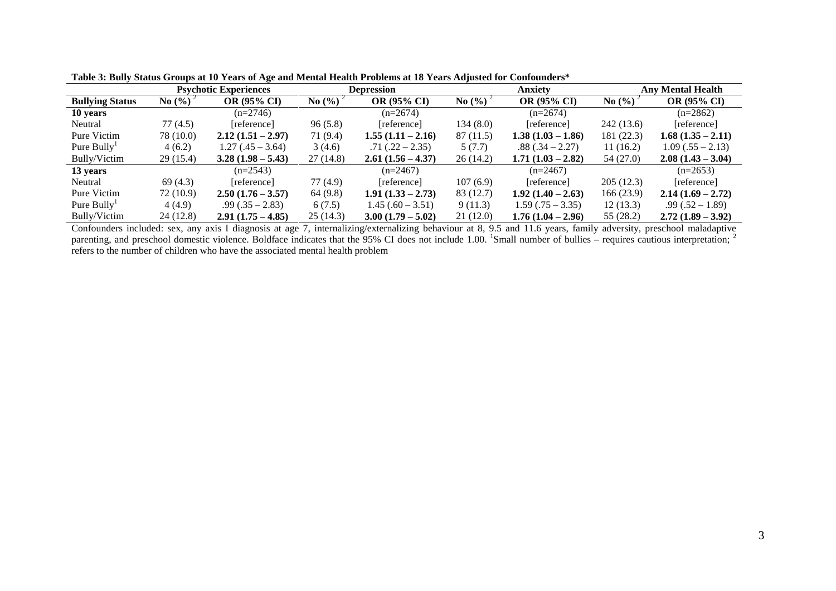|                        |            | <b>Psychotic Experiences</b> | <b>Depression</b>  |                     | <b>Anxiety</b>                  |                     | <b>Any Mental Health</b> |                     |
|------------------------|------------|------------------------------|--------------------|---------------------|---------------------------------|---------------------|--------------------------|---------------------|
| <b>Bullying Status</b> | No $(\% )$ | <b>OR (95% CI)</b>           | $\mathrm{No}(\% )$ | OR (95% CI)         | <b>No</b> $(\%)$<br>OR (95% CI) |                     | No(%)                    | <b>OR (95% CI)</b>  |
| 10 years               |            | $(n=2746)$                   |                    | $(n=2674)$          |                                 | $(n=2674)$          |                          | $(n=2862)$          |
| Neutral                | 77 (4.5)   | [reference]                  | 96(5.8)            | [reference]         | 134(8.0)                        | [reference]         | 242 (13.6)               | [reference]         |
| Pure Victim            | 78 (10.0)  | $2.12(1.51 - 2.97)$          | 71 (9.4)           | $1.55(1.11 - 2.16)$ | 87 (11.5)                       | $1.38(1.03 - 1.86)$ | 181 (22.3)               | $1.68(1.35 - 2.11)$ |
| Pure $Bully^1$         | 4(6.2)     | $1.27(.45 - 3.64)$           | 3(4.6)             | $.71(.22 - 2.35)$   | 5(7.7)                          | $.88(.34 - 2.27)$   | 11(16.2)                 | $1.09(.55 - 2.13)$  |
| Bully/Victim           | 29 (15.4)  | $3.28(1.98-5.43)$            | 27(14.8)           | $2.61(1.56 - 4.37)$ | 26(14.2)                        | $1.71(1.03 - 2.82)$ | 54 (27.0)                | $2.08(1.43 - 3.04)$ |
| 13 years               |            | $(n=2543)$                   |                    | $(n=2467)$          |                                 | $(n=2467)$          |                          | $(n=2653)$          |
| Neutral                | 69(4.3)    | [reference]                  | 77(4.9)            | [reference]         | 107(6.9)                        | [reference]         | 205(12.3)                | [reference]         |
| Pure Victim            | 72 (10.9)  | $2.50(1.76-3.57)$            | 64 (9.8)           | $1.91(1.33 - 2.73)$ | 83 (12.7)                       | $1.92(1.40 - 2.63)$ | 166(23.9)                | $2.14(1.69 - 2.72)$ |
| Pure $Bully1$          | 4(4.9)     | $.99(.35 - 2.83)$            | 6(7.5)             | $1.45(.60 - 3.51)$  | 9(11.3)                         | $1.59(.75 - 3.35)$  | 12(13.3)                 | $.99(.52 - 1.89)$   |
| Bully/Victim           | 24(12.8)   | $2.91(1.75 - 4.85)$          | 25(14.3)           | $3.00(1.79-5.02)$   | 21(12.0)                        | $1.76(1.04 - 2.96)$ | 55 (28.2)                | $2.72(1.89 - 3.92)$ |

**Table 3: Bully Status Groups at 10 Years of Age and Mental Health Problems at 18 Years Adjusted for Confounders\***

Confounders included: sex, any axis I diagnosis at age 7, internalizing/externalizing behaviour at 8, 9.5 and 11.6 years, family adversity, preschool maladaptive parenting, and preschool domestic violence. Boldface indicates that the 95% CI does not include 1.00. Small number of bullies – requires cautious interpretation; <sup>2</sup> refers to the number of children who have the associated mental health problem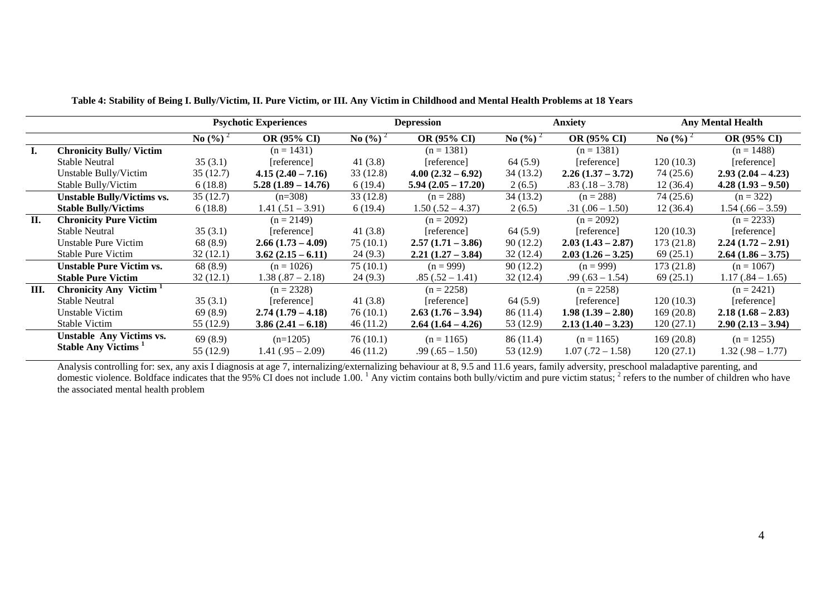|    |                                    | <b>Psychotic Experiences</b> |                      | <b>Depression</b>           |                      | <b>Anxiety</b>     |                     | <b>Any Mental Health</b>    |                     |
|----|------------------------------------|------------------------------|----------------------|-----------------------------|----------------------|--------------------|---------------------|-----------------------------|---------------------|
|    |                                    | <b>No</b> $(\frac{6}{6})^2$  | OR (95% CI)          | <b>No</b> $(\frac{6}{6})^2$ | OR (95% CI)          | <b>No</b> $(\%)^2$ | OR (95% CI)         | <b>No</b> $(\frac{6}{6})^2$ | OR (95% CI)         |
| Ι. | <b>Chronicity Bully/Victim</b>     |                              | $(n = 1431)$         |                             | $(n = 1381)$         |                    | $(n = 1381)$        |                             | $(n = 1488)$        |
|    | <b>Stable Neutral</b>              | 35(3.1)                      | [reference]          | 41 $(3.8)$                  | [reference]          | 64(5.9)            | [reference]         | 120(10.3)                   | [reference]         |
|    | Unstable Bully/Victim              | 35(12.7)                     | $4.15(2.40 - 7.16)$  | 33(12.8)                    | $4.00(2.32-6.92)$    | 34(13.2)           | $2.26(1.37-3.72)$   | 74 (25.6)                   | $2.93(2.04 - 4.23)$ |
|    | Stable Bully/Victim                | 6(18.8)                      | $5.28(1.89 - 14.76)$ | 6(19.4)                     | $5.94(2.05 - 17.20)$ | 2(6.5)             | $.83(.18 - 3.78)$   | 12(36.4)                    | $4.28(1.93 - 9.50)$ |
|    | <b>Unstable Bully/Victims vs.</b>  | 35(12.7)                     | $(n=308)$            | 33(12.8)                    | $(n = 288)$          | 34 (13.2)          | $(n = 288)$         | 74 (25.6)                   | $(n = 322)$         |
|    | <b>Stable Bully/Victims</b>        | 6(18.8)                      | $1.41(.51 - 3.91)$   | 6(19.4)                     | $1.50(.52 - 4.37)$   | 2(6.5)             | $.31(.06 - 1.50)$   | 12(36.4)                    | $1.54(.66 - 3.59)$  |
| П. | <b>Chronicity Pure Victim</b>      |                              | $(n = 2149)$         |                             | $(n = 2092)$         |                    | $(n = 2092)$        |                             | $(n = 2233)$        |
|    | <b>Stable Neutral</b>              | 35(3.1)                      | [reference]          | 41 $(3.8)$                  | [reference]          | 64 (5.9)           | [reference]         | 120(10.3)                   | [reference]         |
|    | Unstable Pure Victim               | 68 (8.9)                     | $2.66(1.73-4.09)$    | 75(10.1)                    | $2.57(1.71 - 3.86)$  | 90(12.2)           | $2.03(1.43 - 2.87)$ | 173(21.8)                   | $2.24(1.72-2.91)$   |
|    | <b>Stable Pure Victim</b>          | 32(12.1)                     | $3.62(2.15-6.11)$    | 24(9.3)                     | $2.21(1.27 - 3.84)$  | 32(12.4)           | $2.03(1.26-3.25)$   | 69(25.1)                    | $2.64(1.86 - 3.75)$ |
|    | <b>Unstable Pure Victim vs.</b>    | 68 (8.9)                     | $(n = 1026)$         | 75(10.1)                    | $(n = 999)$          | 90(12.2)           | $(n = 999)$         | 173(21.8)                   | $(n = 1067)$        |
|    | <b>Stable Pure Victim</b>          | 32(12.1)                     | $1.38(.87 - 2.18)$   | 24(9.3)                     | $.85(.52 - 1.41)$    | 32(12.4)           | $.99(.63 - 1.54)$   | 69(25.1)                    | $1.17(.84 - 1.65)$  |
| Ш. | Chronicity Any Victim <sup>1</sup> |                              | $(n = 2328)$         |                             | $(n = 2258)$         |                    | $(n = 2258)$        |                             | $(n = 2421)$        |
|    | <b>Stable Neutral</b>              | 35(3.1)                      | [reference]          | 41 $(3.8)$                  | [reference]          | 64(5.9)            | [reference]         | 120(10.3)                   | [reference]         |
|    | Unstable Victim                    | 69 (8.9)                     | $2.74(1.79-4.18)$    | 76(10.1)                    | $2.63(1.76-3.94)$    | 86(11.4)           | $1.98(1.39 - 2.80)$ | 169(20.8)                   | $2.18(1.68 - 2.83)$ |
|    | Stable Victim                      | 55 (12.9)                    | $3.86(2.41 - 6.18)$  | 46(11.2)                    | $2.64(1.64 - 4.26)$  | 53 (12.9)          | $2.13(1.40-3.23)$   | 120(27.1)                   | $2.90(2.13 - 3.94)$ |
|    | <b>Unstable Any Victims vs.</b>    | 69(8.9)                      | $(n=1205)$           | 76(10.1)                    | $(n = 1165)$         | 86(11.4)           | $(n = 1165)$        | 169(20.8)                   | $(n = 1255)$        |
|    | Stable Any Victims <sup>1</sup>    | 55(12.9)                     | $1.41(.95 - 2.09)$   | 46(11.2)                    | $.99(.65 - 1.50)$    | 53 (12.9)          | $1.07(.72-1.58)$    | 120(27.1)                   | $1.32(.98 - 1.77)$  |

**Table 4: Stability of Being I. Bully/Victim, II. Pure Victim, or III. Any Victim in Childhood and Mental Health Problems at 18 Years**

Analysis controlling for: sex, any axis I diagnosis at age 7, internalizing/externalizing behaviour at 8, 9.5 and 11.6 years, family adversity, preschool maladaptive parenting, and domestic violence. Boldface indicates that the 95% CI does not include 1.00.<sup>1</sup> Any victim contains both bully/victim and pure victim status;  $\frac{2}{3}$  refers to the number of children who have the associated mental health problem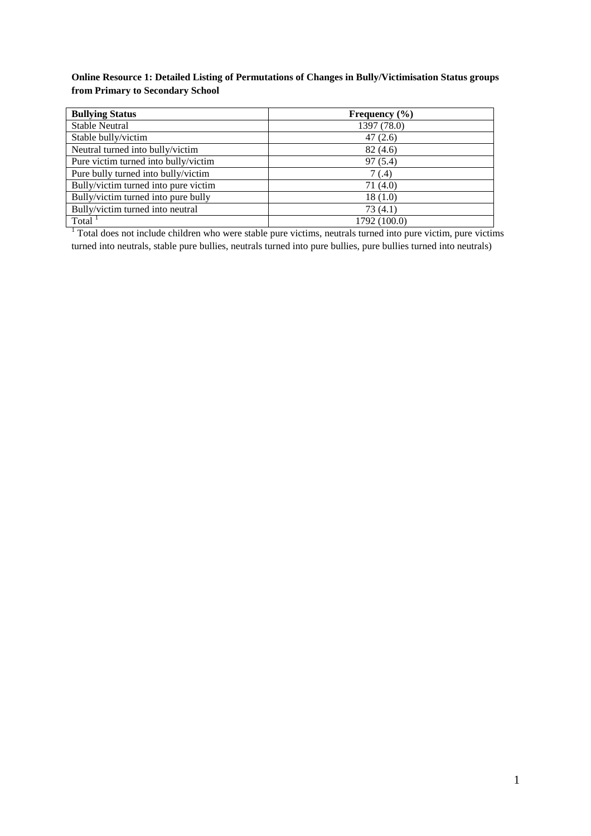# **Online Resource 1: Detailed Listing of Permutations of Changes in Bully/Victimisation Status groups from Primary to Secondary School**

| <b>Bullying Status</b>               | Frequency $(\% )$ |
|--------------------------------------|-------------------|
| <b>Stable Neutral</b>                | 1397 (78.0)       |
| Stable bully/victim                  | 47(2.6)           |
| Neutral turned into bully/victim     | 82 (4.6)          |
| Pure victim turned into bully/victim | 97(5.4)           |
| Pure bully turned into bully/victim  | 7 (.4)            |
| Bully/victim turned into pure victim | 71 (4.0)          |
| Bully/victim turned into pure bully  | 18(1.0)           |
| Bully/victim turned into neutral     | 73(4.1)           |
| Total                                | 1792 (100.0)      |

<sup>1</sup> Total does not include children who were stable pure victims, neutrals turned into pure victim, pure victims turned into neutrals, stable pure bullies, neutrals turned into pure bullies, pure bullies turned into neutrals)